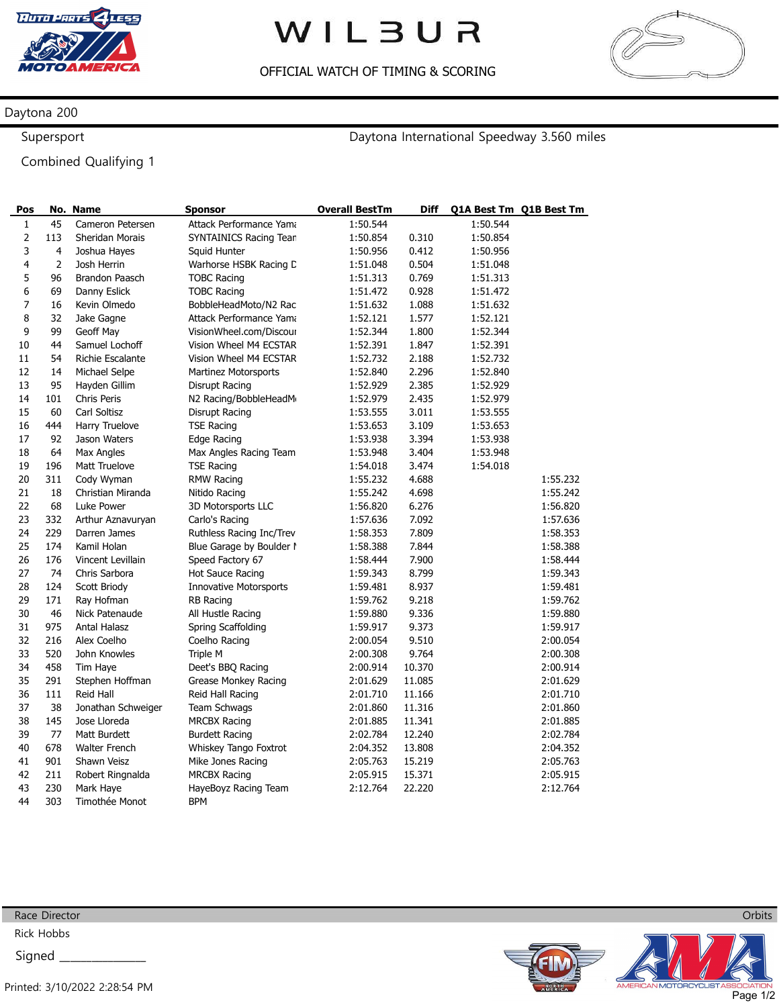

## WILBUR

OFFICIAL WATCH OF TIMING & SCORING



## Daytona 200

Supersport

Daytona International Speedway 3.560 miles

Combined Qualifying 1

| Pos            |                | No. Name             | <b>Sponsor</b>                | <b>Overall BestTm</b> | <b>Diff</b> |          | Q1A Best Tm Q1B Best Tm |
|----------------|----------------|----------------------|-------------------------------|-----------------------|-------------|----------|-------------------------|
| 1              | 45             | Cameron Petersen     | Attack Performance Yama       | 1:50.544              |             | 1:50.544 |                         |
| $\overline{2}$ | 113            | Sheridan Morais      | SYNTAINICS Racing Tean        | 1:50.854              | 0.310       | 1:50.854 |                         |
| 3              | 4              | Joshua Hayes         | Squid Hunter                  | 1:50.956              | 0.412       | 1:50.956 |                         |
| 4              | $\overline{2}$ | Josh Herrin          | Warhorse HSBK Racing D        | 1:51.048              | 0.504       | 1:51.048 |                         |
| 5              | 96             | Brandon Paasch       | <b>TOBC Racing</b>            | 1:51.313              | 0.769       | 1:51.313 |                         |
| 6              | 69             | Danny Eslick         | <b>TOBC Racing</b>            | 1:51.472              | 0.928       | 1:51.472 |                         |
| 7              | 16             | Kevin Olmedo         | BobbleHeadMoto/N2 Rac         | 1:51.632              | 1.088       | 1:51.632 |                         |
| 8              | 32             | Jake Gagne           | Attack Performance Yama       | 1:52.121              | 1.577       | 1:52.121 |                         |
| 9              | 99             | Geoff May            | VisionWheel.com/Discour       | 1:52.344              | 1.800       | 1:52.344 |                         |
| 10             | 44             | Samuel Lochoff       | Vision Wheel M4 ECSTAR        | 1:52.391              | 1.847       | 1:52.391 |                         |
| 11             | 54             | Richie Escalante     | Vision Wheel M4 ECSTAR        | 1:52.732              | 2.188       | 1:52.732 |                         |
| 12             | 14             | Michael Selpe        | <b>Martinez Motorsports</b>   | 1:52.840              | 2.296       | 1:52.840 |                         |
| 13             | 95             | Hayden Gillim        | Disrupt Racing                | 1:52.929              | 2.385       | 1:52.929 |                         |
| 14             | 101            | Chris Peris          | N2 Racing/BobbleHeadM         | 1:52.979              | 2.435       | 1:52.979 |                         |
| 15             | 60             | Carl Soltisz         | Disrupt Racing                | 1:53.555              | 3.011       | 1:53.555 |                         |
| 16             | 444            | Harry Truelove       | <b>TSE Racing</b>             | 1:53.653              | 3.109       | 1:53.653 |                         |
| 17             | 92             | Jason Waters         | Edge Racing                   | 1:53.938              | 3.394       | 1:53.938 |                         |
| 18             | 64             | <b>Max Angles</b>    | Max Angles Racing Team        | 1:53.948              | 3.404       | 1:53.948 |                         |
| 19             | 196            | Matt Truelove        | <b>TSE Racing</b>             | 1:54.018              | 3.474       | 1:54.018 |                         |
| 20             | 311            | Cody Wyman           | <b>RMW Racing</b>             | 1:55.232              | 4.688       |          | 1:55.232                |
| 21             | 18             | Christian Miranda    | Nitido Racing                 | 1:55.242              | 4.698       |          | 1:55.242                |
| 22             | 68             | Luke Power           | 3D Motorsports LLC            | 1:56.820              | 6.276       |          | 1:56.820                |
| 23             | 332            | Arthur Aznavuryan    | Carlo's Racing                | 1:57.636              | 7.092       |          | 1:57.636                |
| 24             | 229            | Darren James         | Ruthless Racing Inc/Trev      | 1:58.353              | 7.809       |          | 1:58.353                |
| 25             | 174            | Kamil Holan          | Blue Garage by Boulder I      | 1:58.388              | 7.844       |          | 1:58.388                |
| 26             | 176            | Vincent Levillain    | Speed Factory 67              | 1:58.444              | 7.900       |          | 1:58.444                |
| 27             | 74             | Chris Sarbora        | <b>Hot Sauce Racing</b>       | 1:59.343              | 8.799       |          | 1:59.343                |
| 28             | 124            | Scott Briody         | <b>Innovative Motorsports</b> | 1:59.481              | 8.937       |          | 1:59.481                |
| 29             | 171            | Ray Hofman           | <b>RB Racing</b>              | 1:59.762              | 9.218       |          | 1:59.762                |
| 30             | 46             | Nick Patenaude       | All Hustle Racing             | 1:59.880              | 9.336       |          | 1:59.880                |
| 31             | 975            | Antal Halasz         | Spring Scaffolding            | 1:59.917              | 9.373       |          | 1:59.917                |
| 32             | 216            | Alex Coelho          | Coelho Racing                 | 2:00.054              | 9.510       |          | 2:00.054                |
| 33             | 520            | John Knowles         | Triple M                      | 2:00.308              | 9.764       |          | 2:00.308                |
| 34             | 458            | Tim Haye             | Deet's BBQ Racing             | 2:00.914              | 10.370      |          | 2:00.914                |
| 35             | 291            | Stephen Hoffman      | Grease Monkey Racing          | 2:01.629              | 11.085      |          | 2:01.629                |
| 36             | 111            | Reid Hall            | Reid Hall Racing              | 2:01.710              | 11.166      |          | 2:01.710                |
| 37             | 38             | Jonathan Schweiger   | Team Schwags                  | 2:01.860              | 11.316      |          | 2:01.860                |
| 38             | 145            | Jose Lloreda         | <b>MRCBX Racing</b>           | 2:01.885              | 11.341      |          | 2:01.885                |
| 39             | 77             | Matt Burdett         | <b>Burdett Racing</b>         | 2:02.784              | 12.240      |          | 2:02.784                |
| 40             | 678            | <b>Walter French</b> | Whiskey Tango Foxtrot         | 2:04.352              | 13.808      |          | 2:04.352                |
| 41             | 901            | Shawn Veisz          | Mike Jones Racing             | 2:05.763              | 15.219      |          | 2:05.763                |
| 42             | 211            | Robert Ringnalda     | <b>MRCBX Racing</b>           | 2:05.915              | 15.371      |          | 2:05.915                |
| 43             | 230            | Mark Haye            | HayeBoyz Racing Team          | 2:12.764              | 22.220      |          | 2:12.764                |
| 44             | 303            | Timothée Monot       | <b>BPM</b>                    |                       |             |          |                         |



Race Director

Rick Hobbs Signed \_